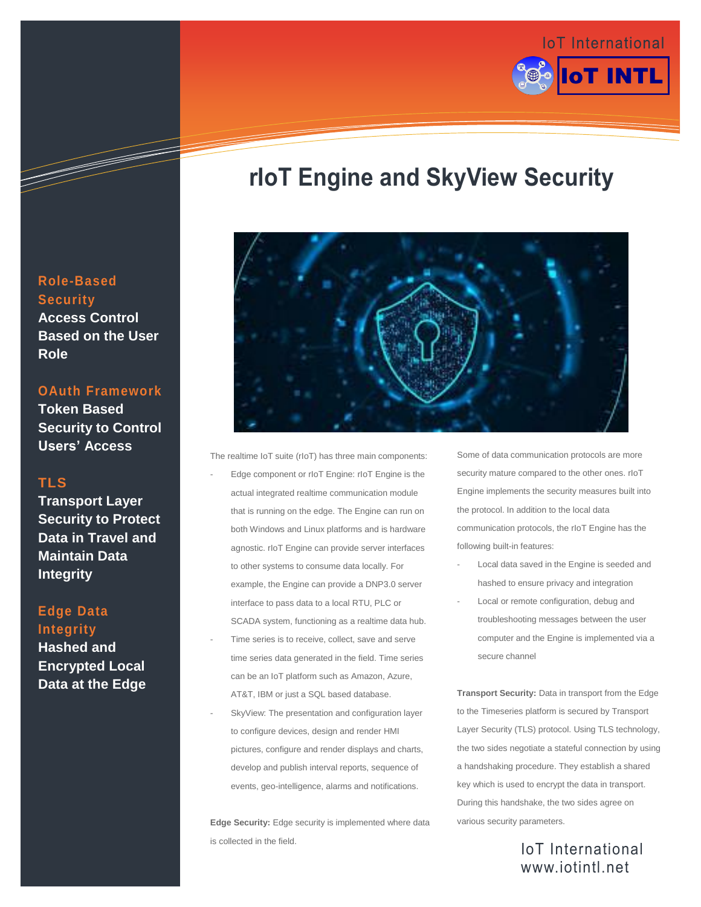

# **rIoT Engine and SkyView Security**



The realtime IoT suite (rIoT) has three main components:

- Edge component or rIoT Engine: rIoT Engine is the actual integrated realtime communication module that is running on the edge. The Engine can run on both Windows and Linux platforms and is hardware agnostic. rIoT Engine can provide server interfaces to other systems to consume data locally. For example, the Engine can provide a DNP3.0 server interface to pass data to a local RTU, PLC or SCADA system, functioning as a realtime data hub.
- Time series is to receive, collect, save and serve time series data generated in the field. Time series can be an IoT platform such as Amazon, Azure, AT&T, IBM or just a SQL based database.
- SkyView: The presentation and configuration layer to configure devices, design and render HMI pictures, configure and render displays and charts, develop and publish interval reports, sequence of events, geo-intelligence, alarms and notifications.

**Edge Security:** Edge security is implemented where data is collected in the field.

Some of data communication protocols are more security mature compared to the other ones. rIoT Engine implements the security measures built into the protocol. In addition to the local data communication protocols, the rIoT Engine has the following built-in features:

- Local data saved in the Engine is seeded and hashed to ensure privacy and integration
- Local or remote configuration, debug and troubleshooting messages between the user computer and the Engine is implemented via a secure channel

**Transport Security:** Data in transport from the Edge to the Timeseries platform is secured by Transport Layer Security (TLS) protocol. Using TLS technology, the two sides negotiate a stateful connection by using a handshaking procedure. They establish a shared key which is used to encrypt the data in transport. During this handshake, the two sides agree on various security parameters.

### IoT International www.iotintl.net

#### **Role-Based Security Access Control Based on the User Role**

**OAuth Framework**

**Token Based Security to Control Users' Access**

#### **TLS**

**Transport Layer Security to Protect Data in Travel and Maintain Data Integrity**

### **Edge Data Integrity**

**Hashed and Encrypted Local Data at the Edge**